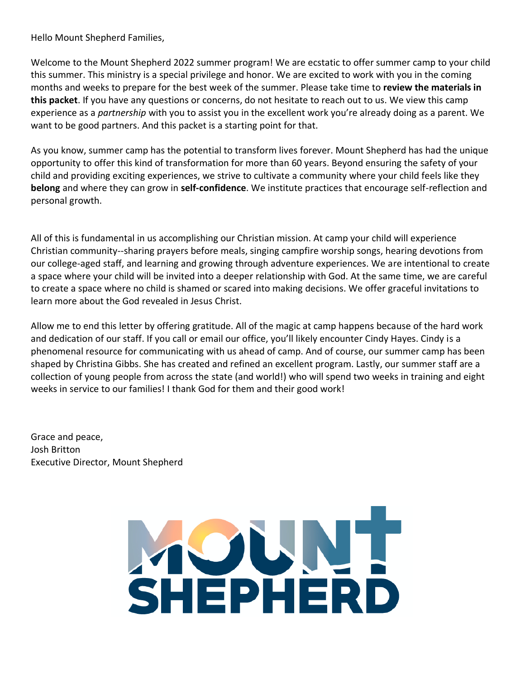Hello Mount Shepherd Families,

Welcome to the Mount Shepherd 2022 summer program! We are ecstatic to offer summer camp to your child this summer. This ministry is a special privilege and honor. We are excited to work with you in the coming months and weeks to prepare for the best week of the summer. Please take time to **review the materials in this packet**. If you have any questions or concerns, do not hesitate to reach out to us. We view this camp experience as a *partnership* with you to assist you in the excellent work you're already doing as a parent. We want to be good partners. And this packet is a starting point for that.

As you know, summer camp has the potential to transform lives forever. Mount Shepherd has had the unique opportunity to offer this kind of transformation for more than 60 years. Beyond ensuring the safety of your child and providing exciting experiences, we strive to cultivate a community where your child feels like they **belong** and where they can grow in **self-confidence**. We institute practices that encourage self-reflection and personal growth.

All of this is fundamental in us accomplishing our Christian mission. At camp your child will experience Christian community--sharing prayers before meals, singing campfire worship songs, hearing devotions from our college-aged staff, and learning and growing through adventure experiences. We are intentional to create a space where your child will be invited into a deeper relationship with God. At the same time, we are careful to create a space where no child is shamed or scared into making decisions. We offer graceful invitations to learn more about the God revealed in Jesus Christ.

Allow me to end this letter by offering gratitude. All of the magic at camp happens because of the hard work and dedication of our staff. If you call or email our office, you'll likely encounter Cindy Hayes. Cindy is a phenomenal resource for communicating with us ahead of camp. And of course, our summer camp has been shaped by Christina Gibbs. She has created and refined an excellent program. Lastly, our summer staff are a collection of young people from across the state (and world!) who will spend two weeks in training and eight weeks in service to our families! I thank God for them and their good work!

Grace and peace, Josh Britton Executive Director, Mount Shepherd

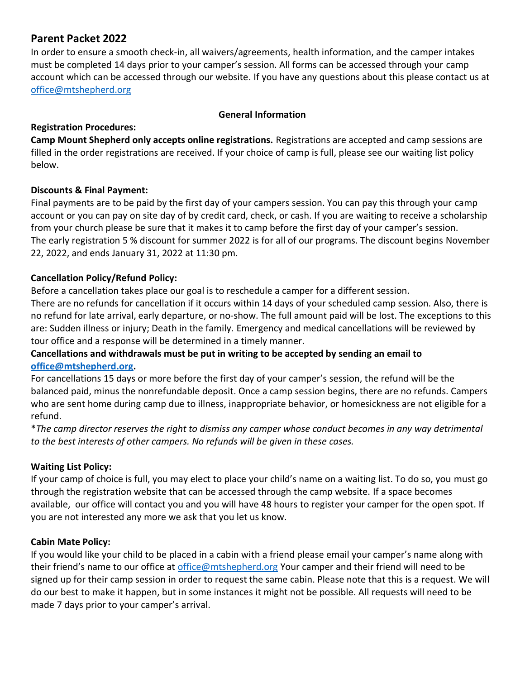# **Parent Packet 2022**

In order to ensure a smooth check-in, all waivers/agreements, health information, and the camper intakes must be completed 14 days prior to your camper's session. All forms can be accessed through your camp account which can be accessed through our website. If you have any questions about this please contact us at [office@mtshepherd.org](mailto:office@mtshepherd.org)

#### **General Information**

### **Registration Procedures:**

**Camp Mount Shepherd only accepts online registrations.** Registrations are accepted and camp sessions are filled in the order registrations are received. If your choice of camp is full, please see our waiting list policy below.

### **Discounts & Final Payment:**

Final payments are to be paid by the first day of your campers session. You can pay this through your camp account or you can pay on site day of by credit card, check, or cash. If you are waiting to receive a scholarship from your church please be sure that it makes it to camp before the first day of your camper's session. The early registration 5 % discount for summer 2022 is for all of our programs. The discount begins November 22, 2022, and ends January 31, 2022 at 11:30 pm.

### **Cancellation Policy/Refund Policy:**

Before a cancellation takes place our goal is to reschedule a camper for a different session.

There are no refunds for cancellation if it occurs within 14 days of your scheduled camp session. Also, there is no refund for late arrival, early departure, or no-show. The full amount paid will be lost. The exceptions to this are: Sudden illness or injury; Death in the family. Emergency and medical cancellations will be reviewed by tour office and a response will be determined in a timely manner.

# **Cancellations and withdrawals must be put in writing to be accepted by sending an email to [office@mtshepherd.org.](mailto:office@mtshepherd.org)**

For cancellations 15 days or more before the first day of your camper's session, the refund will be the balanced paid, minus the nonrefundable deposit. Once a camp session begins, there are no refunds. Campers who are sent home during camp due to illness, inappropriate behavior, or homesickness are not eligible for a refund.

\**The camp director reserves the right to dismiss any camper whose conduct becomes in any way detrimental to the best interests of other campers. No refunds will be given in these cases.* 

### **Waiting List Policy:**

If your camp of choice is full, you may elect to place your child's name on a waiting list. To do so, you must go through the registration website that can be accessed through the camp website. If a space becomes available, our office will contact you and you will have 48 hours to register your camper for the open spot. If you are not interested any more we ask that you let us know.

### **Cabin Mate Policy:**

If you would like your child to be placed in a cabin with a friend please email your camper's name along with their friend's name to our office at [office@mtshepherd.org](mailto:office@mtshepherd.org) Your camper and their friend will need to be signed up for their camp session in order to request the same cabin. Please note that this is a request. We will do our best to make it happen, but in some instances it might not be possible. All requests will need to be made 7 days prior to your camper's arrival.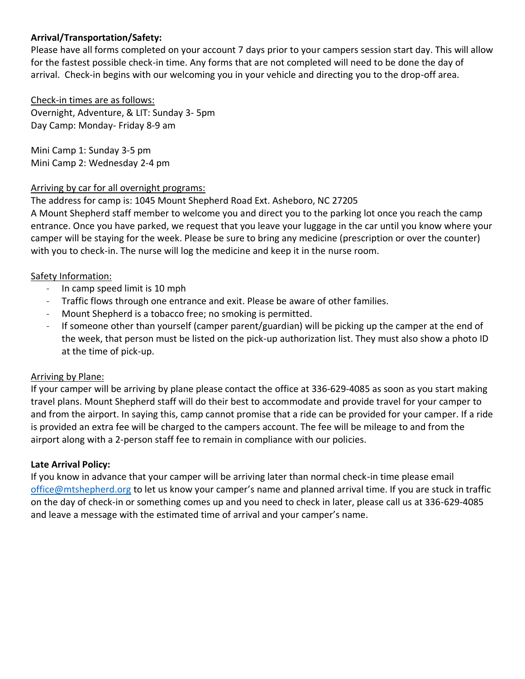### **Arrival/Transportation/Safety:**

Please have all forms completed on your account 7 days prior to your campers session start day. This will allow for the fastest possible check-in time. Any forms that are not completed will need to be done the day of arrival. Check-in begins with our welcoming you in your vehicle and directing you to the drop-off area.

Check-in times are as follows: Overnight, Adventure, & LIT: Sunday 3- 5pm Day Camp: Monday- Friday 8-9 am

Mini Camp 1: Sunday 3-5 pm Mini Camp 2: Wednesday 2-4 pm

#### Arriving by car for all overnight programs:

The address for camp is: 1045 Mount Shepherd Road Ext. Asheboro, NC 27205

A Mount Shepherd staff member to welcome you and direct you to the parking lot once you reach the camp entrance. Once you have parked, we request that you leave your luggage in the car until you know where your camper will be staying for the week. Please be sure to bring any medicine (prescription or over the counter) with you to check-in. The nurse will log the medicine and keep it in the nurse room.

#### Safety Information:

- In camp speed limit is 10 mph
- Traffic flows through one entrance and exit. Please be aware of other families.
- Mount Shepherd is a tobacco free; no smoking is permitted.
- If someone other than yourself (camper parent/guardian) will be picking up the camper at the end of the week, that person must be listed on the pick-up authorization list. They must also show a photo ID at the time of pick-up.

#### Arriving by Plane:

If your camper will be arriving by plane please contact the office at 336-629-4085 as soon as you start making travel plans. Mount Shepherd staff will do their best to accommodate and provide travel for your camper to and from the airport. In saying this, camp cannot promise that a ride can be provided for your camper. If a ride is provided an extra fee will be charged to the campers account. The fee will be mileage to and from the airport along with a 2-person staff fee to remain in compliance with our policies.

### **Late Arrival Policy:**

If you know in advance that your camper will be arriving later than normal check-in time please email [office@mtshepherd.org](mailto:office@mtshepherd.org) to let us know your camper's name and planned arrival time. If you are stuck in traffic on the day of check-in or something comes up and you need to check in later, please call us at 336-629-4085 and leave a message with the estimated time of arrival and your camper's name.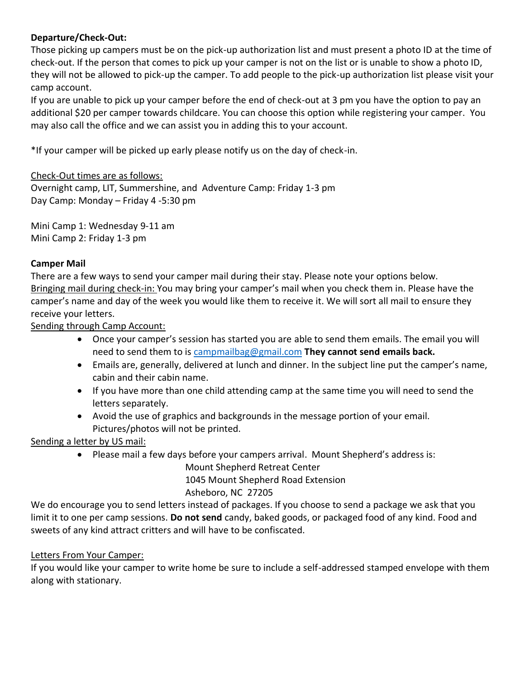# **Departure/Check-Out:**

Those picking up campers must be on the pick-up authorization list and must present a photo ID at the time of check-out. If the person that comes to pick up your camper is not on the list or is unable to show a photo ID, they will not be allowed to pick-up the camper. To add people to the pick-up authorization list please visit your camp account.

If you are unable to pick up your camper before the end of check-out at 3 pm you have the option to pay an additional \$20 per camper towards childcare. You can choose this option while registering your camper. You may also call the office and we can assist you in adding this to your account.

\*If your camper will be picked up early please notify us on the day of check-in.

# Check-Out times are as follows:

Overnight camp, LIT, Summershine, and Adventure Camp: Friday 1-3 pm Day Camp: Monday – Friday 4 -5:30 pm

Mini Camp 1: Wednesday 9-11 am Mini Camp 2: Friday 1-3 pm

# **Camper Mail**

There are a few ways to send your camper mail during their stay. Please note your options below. Bringing mail during check-in: You may bring your camper's mail when you check them in. Please have the camper's name and day of the week you would like them to receive it. We will sort all mail to ensure they receive your letters.

Sending through Camp Account:

- Once your camper's session has started you are able to send them emails. The email you will need to send them to is [campmailbag@gmail.com](mailto:campmailbag@gmail.com) **They cannot send emails back.**
- Emails are, generally, delivered at lunch and dinner. In the subject line put the camper's name, cabin and their cabin name.
- If you have more than one child attending camp at the same time you will need to send the letters separately.
- Avoid the use of graphics and backgrounds in the message portion of your email. Pictures/photos will not be printed.

Sending a letter by US mail:

• Please mail a few days before your campers arrival. Mount Shepherd's address is:

Mount Shepherd Retreat Center 1045 Mount Shepherd Road Extension Asheboro, NC 27205

We do encourage you to send letters instead of packages. If you choose to send a package we ask that you limit it to one per camp sessions. **Do not send** candy, baked goods, or packaged food of any kind. Food and sweets of any kind attract critters and will have to be confiscated.

# Letters From Your Camper:

If you would like your camper to write home be sure to include a self-addressed stamped envelope with them along with stationary.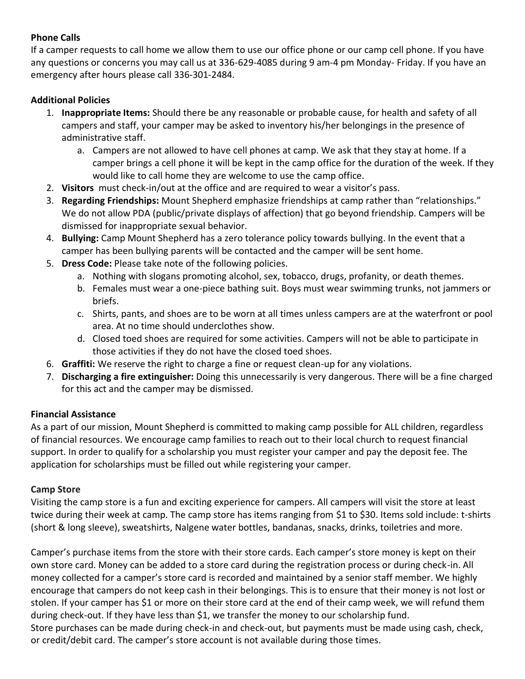# **Phone Calls**

If a camper requests to call home we allow them to use our office phone or our camp cell phone. If you have any questions or concerns you may call us at 336-629-4085 during 9 am-4 pm Monday- Friday. If you have an emergency after hours please call 336-301-2484.

# **Additional Policies**

- 1. **Inappropriate Items:** Should there be any reasonable or probable cause, for health and safety of all campers and staff, your camper may be asked to inventory his/her belongings in the presence of administrative staff.
	- a. Campers are not allowed to have cell phones at camp. We ask that they stay at home. If a camper brings a cell phone it will be kept in the camp office for the duration of the week. If they would like to call home they are welcome to use the camp office.
- 2. **Visitors** must check-in/out at the office and are required to wear a visitor's pass.
- 3. **Regarding Friendships:** Mount Shepherd emphasize friendships at camp rather than "relationships." We do not allow PDA (public/private displays of affection) that go beyond friendship. Campers will be dismissed for inappropriate sexual behavior.
- 4. **Bullying:** Camp Mount Shepherd has a zero tolerance policy towards bullying. In the event that a camper has been bullying parents will be contacted and the camper will be sent home.
- 5. **Dress Code:** Please take note of the following policies.
	- a. Nothing with slogans promoting alcohol, sex, tobacco, drugs, profanity, or death themes.
	- b. Females must wear a one-piece bathing suit. Boys must wear swimming trunks, not jammers or briefs.
	- c. Shirts, pants, and shoes are to be worn at all times unless campers are at the waterfront or pool area. At no time should underclothes show.
	- d. Closed toed shoes are required for some activities. Campers will not be able to participate in those activities if they do not have the closed toed shoes.
- 6. **Graffiti:** We reserve the right to charge a fine or request clean-up for any violations.
- 7. **Discharging a fire extinguisher:** Doing this unnecessarily is very dangerous. There will be a fine charged for this act and the camper may be dismissed.

### **Financial Assistance**

As a part of our mission, Mount Shepherd is committed to making camp possible for ALL children, regardless of financial resources. We encourage camp families to reach out to their local church to request financial support. In order to qualify for a scholarship you must register your camper and pay the deposit fee. The application for scholarships must be filled out while registering your camper.

### **Camp Store**

Visiting the camp store is a fun and exciting experience for campers. All campers will visit the store at least twice during their week at camp. The camp store has items ranging from \$1 to \$30. Items sold include: t-shirts (short & long sleeve), sweatshirts, Nalgene water bottles, bandanas, snacks, drinks, toiletries and more.

Camper's purchase items from the store with their store cards. Each camper's store money is kept on their own store card. Money can be added to a store card during the registration process or during check-in. All money collected for a camper's store card is recorded and maintained by a senior staff member. We highly encourage that campers do not keep cash in their belongings. This is to ensure that their money is not lost or stolen. If your camper has \$1 or more on their store card at the end of their camp week, we will refund them during check-out. If they have less than \$1, we transfer the money to our scholarship fund. Store purchases can be made during check-in and check-out, but payments must be made using cash, check, or credit/debit card. The camper's store account is not available during those times.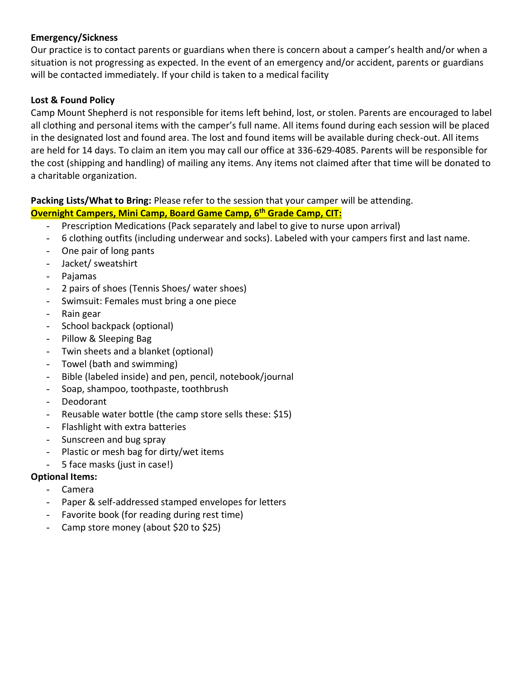### **Emergency/Sickness**

Our practice is to contact parents or guardians when there is concern about a camper's health and/or when a situation is not progressing as expected. In the event of an emergency and/or accident, parents or guardians will be contacted immediately. If your child is taken to a medical facility

#### **Lost & Found Policy**

Camp Mount Shepherd is not responsible for items left behind, lost, or stolen. Parents are encouraged to label all clothing and personal items with the camper's full name. All items found during each session will be placed in the designated lost and found area. The lost and found items will be available during check-out. All items are held for 14 days. To claim an item you may call our office at 336-629-4085. Parents will be responsible for the cost (shipping and handling) of mailing any items. Any items not claimed after that time will be donated to a charitable organization.

**Packing Lists/What to Bring:** Please refer to the session that your camper will be attending.

# **Overnight Campers, Mini Camp, Board Game Camp, 6th Grade Camp, CIT:**

- Prescription Medications (Pack separately and label to give to nurse upon arrival)
- 6 clothing outfits (including underwear and socks). Labeled with your campers first and last name.
- One pair of long pants
- Jacket/ sweatshirt
- Pajamas
- 2 pairs of shoes (Tennis Shoes/ water shoes)
- Swimsuit: Females must bring a one piece
- Rain gear
- School backpack (optional)
- Pillow & Sleeping Bag
- Twin sheets and a blanket (optional)
- Towel (bath and swimming)
- Bible (labeled inside) and pen, pencil, notebook/journal
- Soap, shampoo, toothpaste, toothbrush
- **Deodorant**
- Reusable water bottle (the camp store sells these: \$15)
- Flashlight with extra batteries
- Sunscreen and bug spray
- Plastic or mesh bag for dirty/wet items
- 5 face masks (just in case!)

### **Optional Items:**

- Camera
- Paper & self-addressed stamped envelopes for letters
- Favorite book (for reading during rest time)
- Camp store money (about \$20 to \$25)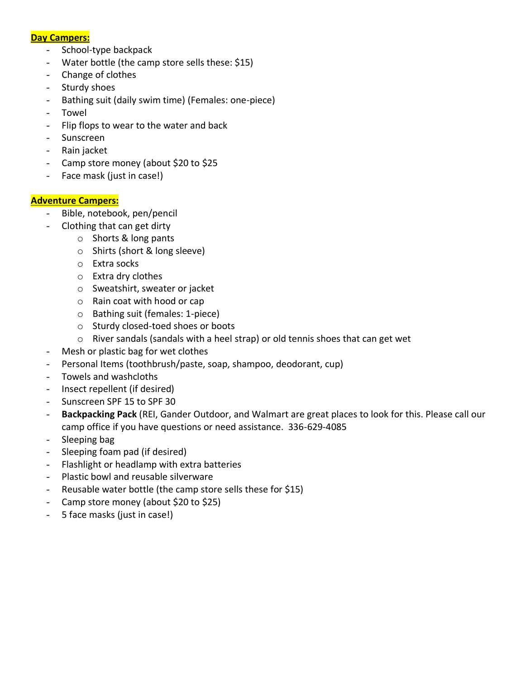#### **Day Campers:**

- School-type backpack
- Water bottle (the camp store sells these: \$15)
- Change of clothes
- Sturdy shoes
- Bathing suit (daily swim time) (Females: one-piece)
- **Towel**
- Flip flops to wear to the water and back
- **Sunscreen**
- Rain jacket
- Camp store money (about \$20 to \$25
- Face mask (just in case!)

#### **Adventure Campers:**

- Bible, notebook, pen/pencil
	- Clothing that can get dirty
		- o Shorts & long pants
		- o Shirts (short & long sleeve)
		- o Extra socks
		- o Extra dry clothes
		- o Sweatshirt, sweater or jacket
		- o Rain coat with hood or cap
		- o Bathing suit (females: 1-piece)
		- o Sturdy closed-toed shoes or boots
		- o River sandals (sandals with a heel strap) or old tennis shoes that can get wet
- Mesh or plastic bag for wet clothes
- Personal Items (toothbrush/paste, soap, shampoo, deodorant, cup)
- Towels and washcloths
- Insect repellent (if desired)
- Sunscreen SPF 15 to SPF 30
- **Backpacking Pack** (REI, Gander Outdoor, and Walmart are great places to look for this. Please call our camp office if you have questions or need assistance. 336-629-4085
- Sleeping bag
- Sleeping foam pad (if desired)
- Flashlight or headlamp with extra batteries
- Plastic bowl and reusable silverware
- Reusable water bottle (the camp store sells these for \$15)
- Camp store money (about \$20 to \$25)
- 5 face masks (just in case!)